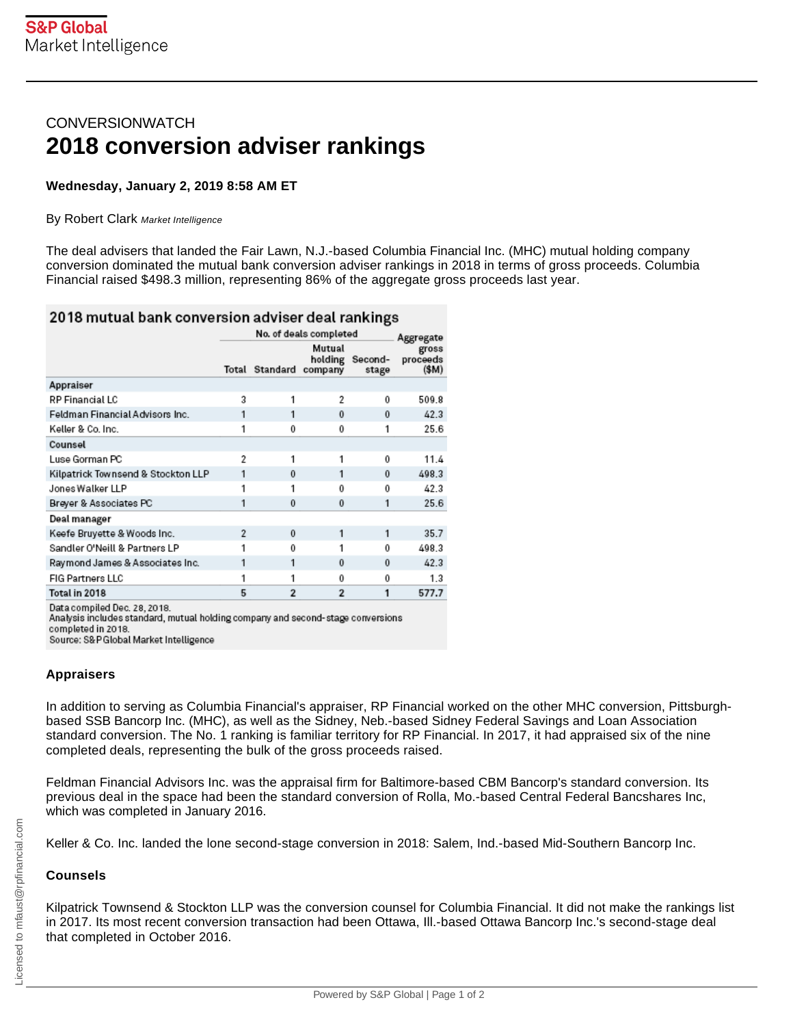# **CONVERSIONWATCH 2018 conversion adviser rankings**

## **Wednesday, January 2, 2019 8:58 AM ET**

#### By Robert Clark Market Intelligence

The deal advisers that landed the Fair Lawn, N.J.-based Columbia Financial Inc. (MHC) mutual holding company conversion dominated the mutual bank conversion adviser rankings in 2018 in terms of gross proceeds. Columbia Financial raised \$498.3 million, representing 86% of the aggregate gross proceeds last year.

## 2018 mutual bank conversion adviser deal rankings

|                                                                                                                                       | No. of deals completed |                        |                   | Aggregate        |                            |
|---------------------------------------------------------------------------------------------------------------------------------------|------------------------|------------------------|-------------------|------------------|----------------------------|
|                                                                                                                                       |                        | Total Standard company | Mutual<br>holding | Second-<br>stage | gross<br>proceeds<br>(\$M) |
| Appraiser                                                                                                                             |                        |                        |                   |                  |                            |
| RP Financial LC                                                                                                                       | $\overline{a}$         |                        | 2                 | $\Omega$         | 509.8                      |
| Feldman Financial Advisors Inc.                                                                                                       | 1                      | 1                      | $\bf{0}$          | $\Omega$         | 42.3                       |
| Keller & Co. Inc.                                                                                                                     | 1                      | 0                      | 0                 | 1                | 25.6                       |
| Counsel                                                                                                                               |                        |                        |                   |                  |                            |
| Luse Gorman PC                                                                                                                        | 2                      | 1                      | 1                 | $\bf{0}$         | 11.4                       |
| Kilpatrick Townsend & Stockton LLP                                                                                                    | 1                      | $\Omega$               | 1                 | $\Omega$         | 498.3                      |
| Jones Walker LLP                                                                                                                      | 1                      | 1                      | 0                 | 0                | 42.3                       |
| Breyer & Associates PC                                                                                                                | 1                      | $\bf{0}$               | $\bf{0}$          | 1                | 25.6                       |
| Deal manager                                                                                                                          |                        |                        |                   |                  |                            |
| Keefe Bruyette & Woods Inc.                                                                                                           | $\overline{2}$         | $\bf{0}$               | 1                 | 1                | 35.7                       |
| Sandler O'Neill & Partners LP                                                                                                         | 1                      | $\Omega$               |                   | 0                | 498.3                      |
| Raymond James & Associates Inc.                                                                                                       | 1                      | 1                      | $\mathbf{0}$      | $\Omega$         | 42.3                       |
| <b>FIG Partners LLC</b>                                                                                                               | 1                      |                        | 0                 | 0                | 1.3                        |
| Total in 2018                                                                                                                         | 5                      | $\overline{2}$         | $\overline{2}$    | 1                | 577.7                      |
| Data compiled Dec. 28, 2018.<br>Analysis includes standard, mutual holding company and second-stage conversions<br>completed in 2018. |                        |                        |                   |                  |                            |

Source: S&P Global Market Intelligence

## **Appraisers**

In addition to serving as Columbia Financial's appraiser, RP Financial worked on the other MHC conversion, Pittsburghbased SSB Bancorp Inc. (MHC), as well as the Sidney, Neb.-based Sidney Federal Savings and Loan Association standard conversion. The No. 1 ranking is familiar territory for RP Financial. In 2017, it had appraised six of the nine completed deals, representing the bulk of the gross proceeds raised.

Feldman Financial Advisors Inc. was the appraisal firm for Baltimore-based CBM Bancorp's standard conversion. Its previous deal in the space had been the standard conversion of Rolla, Mo.-based Central Federal Bancshares Inc, which was completed in January 2016.

Keller & Co. Inc. landed the lone second-stage conversion in 2018: Salem, Ind.-based Mid-Southern Bancorp Inc.

#### **Counsels**

Kilpatrick Townsend & Stockton LLP was the conversion counsel for Columbia Financial. It did not make the rankings list in 2017. Its most recent conversion transaction had been Ottawa, Ill.-based Ottawa Bancorp Inc.'s second-stage deal that completed in October 2016.